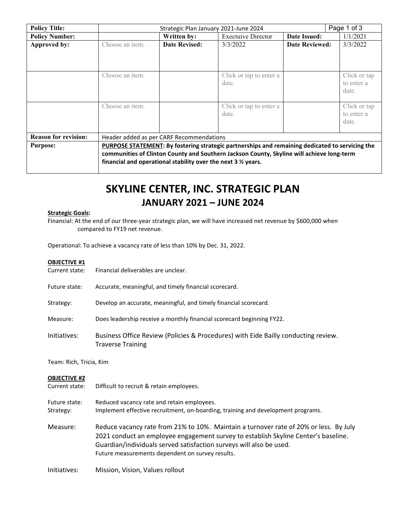| <b>Policy Title:</b>        | Page 1 of 3<br>Strategic Plan January 2021-June 2024                    |                                          |                                                                                                                                                                                              |                       |                                     |
|-----------------------------|-------------------------------------------------------------------------|------------------------------------------|----------------------------------------------------------------------------------------------------------------------------------------------------------------------------------------------|-----------------------|-------------------------------------|
| <b>Policy Number:</b>       |                                                                         | Written by:                              | <b>Exectuive Director</b>                                                                                                                                                                    | Date Issued:          | 1/1/2021                            |
| Approved by:                | Choose an item.                                                         | <b>Date Revised:</b>                     | 3/3/2022                                                                                                                                                                                     | <b>Date Reviewed:</b> | 3/3/2022                            |
|                             | Choose an item.                                                         |                                          | Click or tap to enter a<br>date.                                                                                                                                                             |                       | Click or tap<br>to enter a<br>date. |
|                             | Choose an item.                                                         |                                          | Click or tap to enter a<br>date.                                                                                                                                                             |                       | Click or tap<br>to enter a<br>date. |
| <b>Reason for revision:</b> |                                                                         | Header added as per CARF Recommendations |                                                                                                                                                                                              |                       |                                     |
| <b>Purpose:</b>             | financial and operational stability over the next $3\frac{1}{2}$ years. |                                          | PURPOSE STATEMENT: By fostering strategic partnerships and remaining dedicated to servicing the<br>communities of Clinton County and Southern Jackson County, Skyline will achieve long-term |                       |                                     |

# **SKYLINE CENTER, INC. STRATEGIC PLAN JANUARY 2021 – JUNE 2024**

#### **Strategic Goals:**

Financial: At the end of our three-year strategic plan, we will have increased net revenue by \$600,000 when compared to FY19 net revenue.

Operational: To achieve a vacancy rate of less than 10% by Dec. 31, 2022.

| <b>OBJECTIVE #1</b><br>Current state: | Financial deliverables are unclear.                                                                            |  |
|---------------------------------------|----------------------------------------------------------------------------------------------------------------|--|
| Future state:                         | Accurate, meaningful, and timely financial scorecard.                                                          |  |
| Strategy:                             | Develop an accurate, meaningful, and timely financial scorecard.                                               |  |
| Measure:                              | Does leadership receive a monthly financial scorecard beginning FY22.                                          |  |
| Initiatives:                          | Business Office Review (Policies & Procedures) with Eide Bailly conducting review.<br><b>Traverse Training</b> |  |
| Team: Rich, Tricia, Kim               |                                                                                                                |  |
| <b>OBJECTIVE #2</b><br>Current state: | Difficult to recruit & retain employees.                                                                       |  |

Strategy: Implement effective recruitment, on-boarding, training and development programs. Measure: Reduce vacancy rate from 21% to 10%. Maintain a turnover rate of 20% or less. By July 2021 conduct an employee engagement survey to establish Skyline Center's baseline. Guardian/individuals served satisfaction surveys will also be used. Future measurements dependent on survey results.

Initiatives: Mission, Vision, Values rollout

Future state: Reduced vacancy rate and retain employees.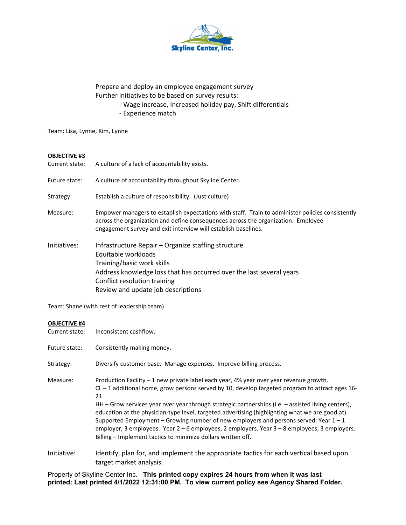

Prepare and deploy an employee engagement survey Further initiatives to be based on survey results:

- Wage increase, Increased holiday pay, Shift differentials
- Experience match

Team: Lisa, Lynne, Kim, Lynne

## **OBJECTIVE #3**

| Current state: | A culture of a lack of accountability exists.                                                                                                                                                                                                           |
|----------------|---------------------------------------------------------------------------------------------------------------------------------------------------------------------------------------------------------------------------------------------------------|
| Future state:  | A culture of accountability throughout Skyline Center.                                                                                                                                                                                                  |
| Strategy:      | Establish a culture of responsibility. (Just culture)                                                                                                                                                                                                   |
| Measure:       | Empower managers to establish expectations with staff. Train to administer policies consistently<br>across the organization and define consequences across the organization. Employee<br>engagement survey and exit interview will establish baselines. |
| Initiatives:   | Infrastructure Repair - Organize staffing structure<br>Equitable workloads<br>Training/basic work skills<br>Address knowledge loss that has occurred over the last several years<br>Conflict resolution training<br>Review and update job descriptions  |

Team: Shane (with rest of leadership team)

#### **OBJECTIVE #4**

| Current state: | Inconsistent cashflow.                                                                                                                                                                                                                                                                                                                                                                                                                                                                                                                                                                                                                                                      |
|----------------|-----------------------------------------------------------------------------------------------------------------------------------------------------------------------------------------------------------------------------------------------------------------------------------------------------------------------------------------------------------------------------------------------------------------------------------------------------------------------------------------------------------------------------------------------------------------------------------------------------------------------------------------------------------------------------|
| Future state:  | Consistently making money.                                                                                                                                                                                                                                                                                                                                                                                                                                                                                                                                                                                                                                                  |
| Strategy:      | Diversify customer base. Manage expenses. Improve billing process.                                                                                                                                                                                                                                                                                                                                                                                                                                                                                                                                                                                                          |
| Measure:       | Production Facility $-1$ new private label each year, 4% year over year revenue growth.<br>$CL - 1$ additional home, grow persons served by 10, develop targeted program to attract ages 16-<br>21.<br>HH - Grow services year over year through strategic partnerships (i.e. - assisted living centers),<br>education at the physician-type level, targeted advertising (highlighting what we are good at).<br>Supported Employment – Growing number of new employers and persons served: Year $1 - 1$<br>employer, 3 employees. Year $2 - 6$ employees, 2 employers. Year $3 - 8$ employees, 3 employers.<br>Billing - Implement tactics to minimize dollars written off. |
| Initiative:    | Identify, plan for, and implement the appropriate tactics for each vertical based upon<br>target market analysis.                                                                                                                                                                                                                                                                                                                                                                                                                                                                                                                                                           |

Property of Skyline Center Inc. **This printed copy expires 24 hours from when it was last printed: Last printed 4/1/2022 12:31:00 PM. To view current policy see Agency Shared Folder.**